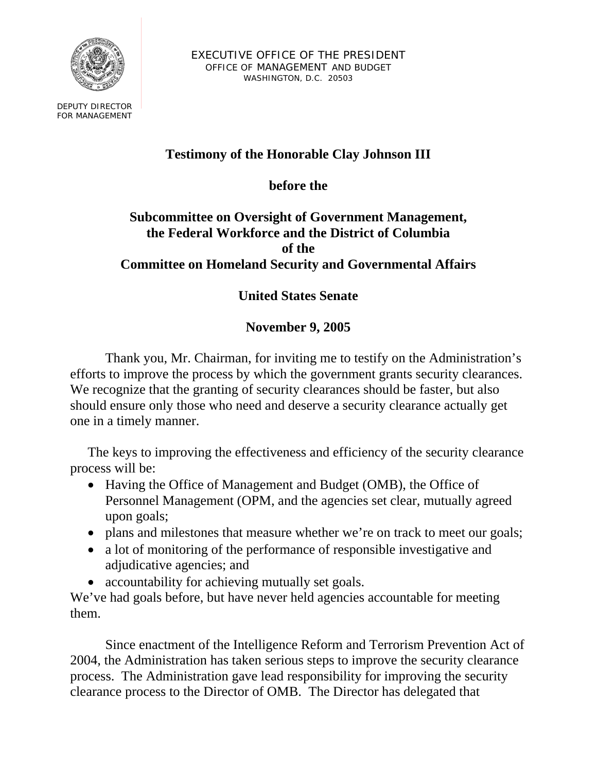

EXECUTIVE OFFICE OF THE PRESIDENT OFFICE OF MANAGEMENT AND BUDGET WASHINGTON, D.C. 20503

DEPUTY DIRECTOR FOR MANAGEMENT

## **Testimony of the Honorable Clay Johnson III**

**before the** 

#### **Subcommittee on Oversight of Government Management, the Federal Workforce and the District of Columbia of the Committee on Homeland Security and Governmental Affairs**

# **United States Senate**

## **November 9, 2005**

Thank you, Mr. Chairman, for inviting me to testify on the Administration's efforts to improve the process by which the government grants security clearances. We recognize that the granting of security clearances should be faster, but also should ensure only those who need and deserve a security clearance actually get one in a timely manner.

The keys to improving the effectiveness and efficiency of the security clearance process will be:

- Having the Office of Management and Budget (OMB), the Office of Personnel Management (OPM, and the agencies set clear, mutually agreed upon goals;
- plans and milestones that measure whether we're on track to meet our goals;
- a lot of monitoring of the performance of responsible investigative and adjudicative agencies; and
- accountability for achieving mutually set goals.

We've had goals before, but have never held agencies accountable for meeting them.

Since enactment of the Intelligence Reform and Terrorism Prevention Act of 2004, the Administration has taken serious steps to improve the security clearance process. The Administration gave lead responsibility for improving the security clearance process to the Director of OMB. The Director has delegated that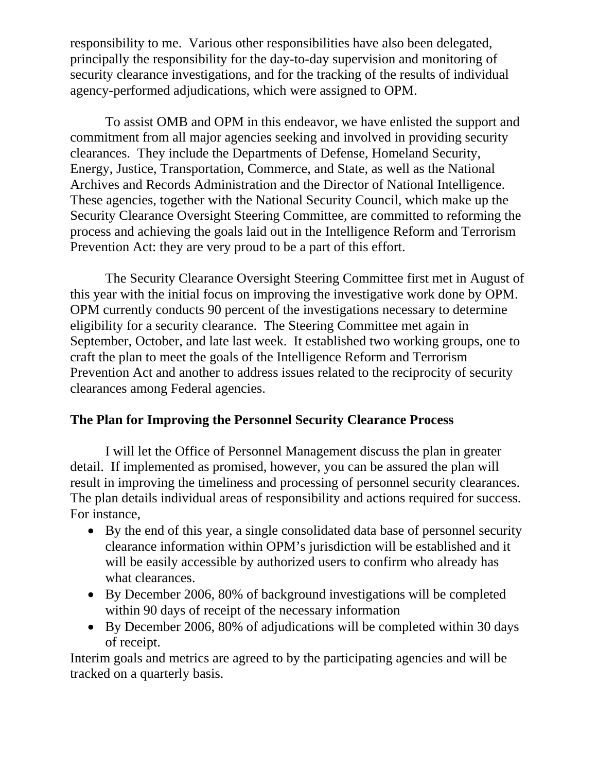responsibility to me. Various other responsibilities have also been delegated, principally the responsibility for the day-to-day supervision and monitoring of security clearance investigations, and for the tracking of the results of individual agency-performed adjudications, which were assigned to OPM.

To assist OMB and OPM in this endeavor, we have enlisted the support and commitment from all major agencies seeking and involved in providing security clearances. They include the Departments of Defense, Homeland Security, Energy, Justice, Transportation, Commerce, and State, as well as the National Archives and Records Administration and the Director of National Intelligence. These agencies, together with the National Security Council, which make up the Security Clearance Oversight Steering Committee, are committed to reforming the process and achieving the goals laid out in the Intelligence Reform and Terrorism Prevention Act: they are very proud to be a part of this effort.

The Security Clearance Oversight Steering Committee first met in August of this year with the initial focus on improving the investigative work done by OPM. OPM currently conducts 90 percent of the investigations necessary to determine eligibility for a security clearance. The Steering Committee met again in September, October, and late last week. It established two working groups, one to craft the plan to meet the goals of the Intelligence Reform and Terrorism Prevention Act and another to address issues related to the reciprocity of security clearances among Federal agencies.

## **The Plan for Improving the Personnel Security Clearance Process**

I will let the Office of Personnel Management discuss the plan in greater detail. If implemented as promised, however, you can be assured the plan will result in improving the timeliness and processing of personnel security clearances. The plan details individual areas of responsibility and actions required for success. For instance,

- By the end of this year, a single consolidated data base of personnel security clearance information within OPM's jurisdiction will be established and it will be easily accessible by authorized users to confirm who already has what clearances.
- By December 2006, 80% of background investigations will be completed within 90 days of receipt of the necessary information
- By December 2006, 80% of adjudications will be completed within 30 days of receipt.

Interim goals and metrics are agreed to by the participating agencies and will be tracked on a quarterly basis.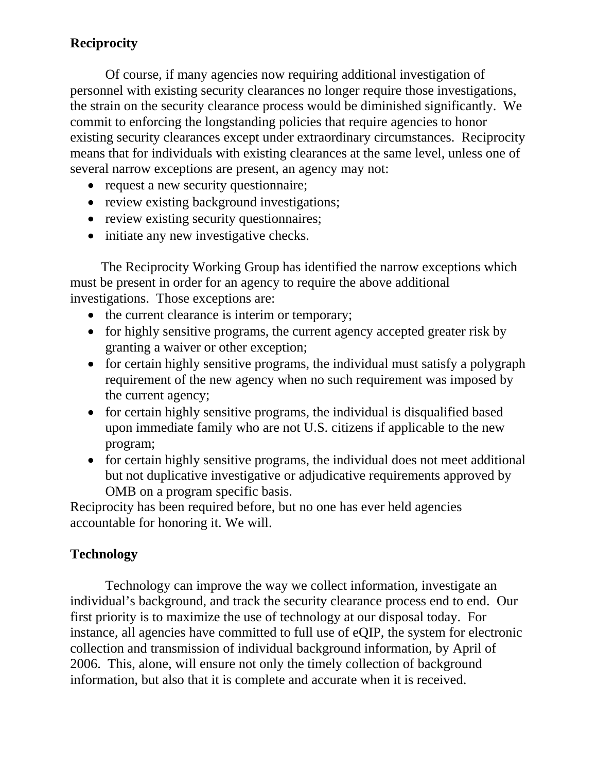### **Reciprocity**

Of course, if many agencies now requiring additional investigation of personnel with existing security clearances no longer require those investigations, the strain on the security clearance process would be diminished significantly. We commit to enforcing the longstanding policies that require agencies to honor existing security clearances except under extraordinary circumstances. Reciprocity means that for individuals with existing clearances at the same level, unless one of several narrow exceptions are present, an agency may not:

- request a new security questionnaire;
- review existing background investigations;
- review existing security questionnaires;
- initiate any new investigative checks.

The Reciprocity Working Group has identified the narrow exceptions which must be present in order for an agency to require the above additional investigations. Those exceptions are:

- the current clearance is interim or temporary;
- for highly sensitive programs, the current agency accepted greater risk by granting a waiver or other exception;
- for certain highly sensitive programs, the individual must satisfy a polygraph requirement of the new agency when no such requirement was imposed by the current agency;
- for certain highly sensitive programs, the individual is disqualified based upon immediate family who are not U.S. citizens if applicable to the new program;
- for certain highly sensitive programs, the individual does not meet additional but not duplicative investigative or adjudicative requirements approved by OMB on a program specific basis.

Reciprocity has been required before, but no one has ever held agencies accountable for honoring it. We will.

#### **Technology**

Technology can improve the way we collect information, investigate an individual's background, and track the security clearance process end to end. Our first priority is to maximize the use of technology at our disposal today. For instance, all agencies have committed to full use of eQIP, the system for electronic collection and transmission of individual background information, by April of 2006. This, alone, will ensure not only the timely collection of background information, but also that it is complete and accurate when it is received.